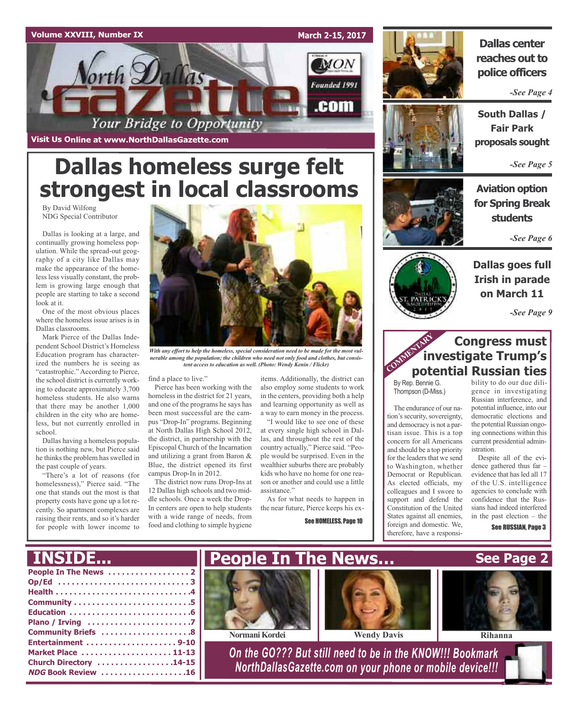### **Volume XXVIII, Number IX**



**Visit Us Online at www.NorthDallasGazette.com**

# **Dallas homeless surge felt strongest in local classrooms**

By David Wilfong NDG Special Contributor

Dallas is looking at a large, and continually growing homeless population. While the spread-out geography of a city like Dallas may make the appearance of the homeless less visually constant, the problem is growing large enough that people are starting to take a second look at it.

One of the most obvious places where the homeless issue arises is in Dallas classrooms.

Mark Pierce of the Dallas Independent School District's Homeless Education program has characterized the numbers he is seeing as "catastrophic." According to Pierce, the school district is currently working to educate approximately 3,700 homeless students. He also warns that there may be another 1,000 children in the city who are homeless, but not currently enrolled in school.

Dallas having a homeless population is nothing new, but Pierce said he thinks the problem has swelled in the past couple of years.

"There's a lot of reasons (for homelessness)," Pierce said. "The one that stands out the most is that property costs have gone up a lot recently. So apartment complexes are raising their rents, and so it's harder for people with lower income to



*With any effort to help the homeless, special consideration need to be made for the most vulnerable among the population; the children who need not only food and clothes, but consistent access to education as well. (Photo: Wendy Kenin / Flickr)*

find a place to live."

Pierce has been working with the homeless in the district for 21 years. and one of the programs he says has been most successful are the campus "Drop-In" programs. Beginning at North Dallas High School 2012, the district, in partnership with the Episcopal Church of the Incarnation and utilizing a grant from Baron & Blue, the district opened its first campus Drop-In in 2012.

The district now runs Drop-Ins at 12 Dallas high schools and two middle schools. Once a week the Drop-In centers are open to help students with a wide range of needs, from food and clothing to simple hygiene

items. Additionally, the district can also employ some students to work in the centers, providing both a help and learning opportunity as well as a way to earn money in the process.

"I would like to see one of these at every single high school in Dallas, and throughout the rest of the country actually," Pierce said. "People would be surprised. Even in the wealthier suburbs there are probably kids who have no home for one reason or another and could use a little assistance."

As for what needs to happen in the near future, Pierce keeps his ex-

See HOMELESS, Page 10



## **Dallas center reaches out to police officers**

*-See Page 4*



*-See Page 5*

**Aviation option for Spring Break students**

*-See Page 6*



**Dallas goes full Irish in parade on March 11**

*-See Page 9*

## **Congress must investigate Trump's potential Russian ties**<br> **Potential Russian ties**

By Rep. Bennie G. Thompson (D-Miss.)

The endurance of our nation's security, sovereignty, and democracy is not a partisan issue. This is a top concern for all Americans and should be a top priority for the leaders that we send to Washington, whether Democrat or Republican. As elected officials, my colleagues and I swore to support and defend the Constitution of the United States against all enemies, foreign and domestic. We, therefore, have a responsibility to do our due diligence in investigating Russian interference, and potential influence, into our democratic elections and the potential Russian ongoing connections within this current presidential administration.

Despite all of the evidence gathered thus far – evidence that has led all 17 of the U.S. intelligence agencies to conclude with confidence that the Russians had indeed interfered in the past election – the

See RUSSIAN, Page 3

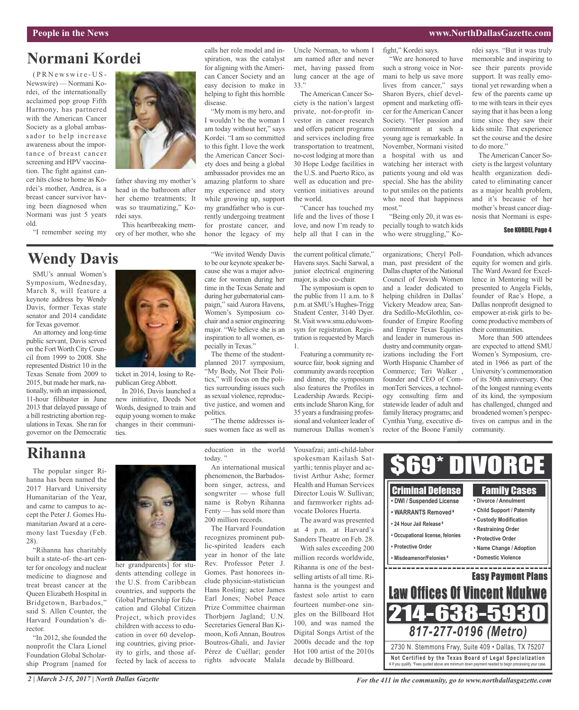#### **People in the News www.NorthDallasGazette.com**

## **Normani Kordei**

 $(P R N e w s w i r e - U S -$ Newswire) — Normani Kordei, of the internationally acclaimed pop group Fifth Harmony, has partnered with the American Cancer Society as a global ambassador to help increase awareness about the importance of breast cancer screening and HPV vaccination. The fight against cancer hits close to home as Kordei's mother, Andrea, is a breast cancer survivor having been diagnosed when Normani was just 5 years old.

"I remember seeing my

## **Wendy Davis**

SMU's annual Women's Symposium, Wednesday, March 8, will feature a keynote address by Wendy Davis, former Texas state senator and 2014 candidate for Texas governor.

An attorney and long-time public servant, Davis served on the Fort Worth City Council from 1999 to 2008. She represented District 10 in the Texas Senate from 2009 to 2015, but made her mark, nationally, with an impassioned, 11-hour filibuster in June 2013 that delayed passage of a bill restricting abortion regulations in Texas. She ran for governor on the Democratic



head in the bathroom after her chemo treatments; It was so traumatizing," Kordei says.

This heartbreaking memory of her mother, who she

calls her role model and inspiration, was the catalyst for aligning with the American Cancer Society and an easy decision to make in helping to fight this horrible disease.

"My mom is my hero, and I wouldn't be the woman I am today without her," says Kordei. "I am so committed to this fight. I love the work the American Cancer Society does and being a global ambassador provides me an amazing platform to share my experience and story while growing up, support my grandfather who is currently undergoing treatment for prostate cancer, and honor the legacy of my

"We invited Wendy Davis to be our keynote speaker because she was a major advocate for women during her time in the Texas Senate and during her gubernatorial campaign," said Aurora Havens, Women's Symposium cochair and a senior engineering major. "We believe she is an inspiration to all women, esUncle Norman, to whom I am named after and never met, having passed from lung cancer at the age of 33."

The American Cancer Society is the nation's largest private, not-for-profit investor in cancer research and offers patient programs and services including free transportation to treatment, no-cost lodging at more than 30 Hope Lodge facilities in the U.S. and Puerto Rico, as well as education and prevention initiatives around the world.

"Cancer has touched my life and the lives of those I love, and now I'm ready to help all that I can in the

the current political climate," Havenssays. Sachi Sarwal, a junior electrical enginering major, is also co-chair.

The symposium is open to the public from 11 a.m. to 8 p.m. at SMU's Hughes-Trigg Student Center, 3140 Dyer. St.Visit www.smu.edu/womsym for registration. Registration is requested by March 1.

Featuring a community resource fair, book signing and community awards reception and dinner, the symposium also features the Profiles in Leadership Awards. Recipientsinclude Sharon King, for 35 years a fundraising professional and volunteer leader of numerous Dallas women's

## **Rihanna**

The popular singer Rihanna has been named the 2017 Harvard University Humanitarian of the Year, and came to campus to accept the Peter J. Gomes Humanitarian Award at a ceremony last Tuesday (Feb. 28).

"Rihanna has charitably built a state-of- the-art center for oncology and nuclear medicine to diagnose and treat breast cancer at the Queen Elizabeth Hospital in Bridgetown, Barbados," said S. Allen Counter, the Harvard Foundation's director.

"In 2012, she founded the nonprofit the Clara Lionel Foundation Global Scholarship Program [named for



ticket in 2014, losing to Republican Greg Abbott.

ties.

In 2016, Davis launched a new initiative, Deeds Not Words, designed to train and equip young women to make changes in their communi-

her grandparents] for students attending college in the U.S. from Caribbean countries, and supports the Global Partnership for Education and Global Citizen Project, which provides children with access to education in over 60 developing countries, giving priority to girls, and those affected by lack of access to

education in the world today."

"The theme addresses issues women face as well as

pecially in Texas."

politics.

The theme of the studentplanned 2017 symposium, "My Body, Not Their Politics," will focus on the politics surrounding issues such as sexual violence, reproductive justice, and women and

An international musical phenomenon, the Barbadosborn singer, actress, and songwriter — whose full name is Robyn Rihanna Fenty — has sold more than 200 million records.

The Harvard Foundation recognizes prominent public-spirited leaders each year in honor of the late Rev. Professor Peter J. Gomes. Past honorees include physician-statistician Hans Rosling; actor James Earl Jones; Nobel Peace Prize Committee chairman Thorbjørn Jagland; U.N. Secretaries General Ban Kimoon, Kofi Annan, Boutros Boutros-Ghali, and Javier Pérez de Cuéllar; gender rights advocate Malala

Yousafzai; anti-child-labor spokesman Kailash Satyarthi; tennis player and activist Arthur Ashe; former Health and Human Services Director Louis W. Sullivan; and farmworker rights advocate Dolores Huerta.

The award was presented at 4 p.m. at Harvard's Sanders Theatre on Feb. 28.

With sales exceeding 200 million records worldwide, Rihanna is one of the bestselling artists of all time. Rihanna is the youngest and fastest solo artist to earn fourteen number-one singles on the Billboard Hot 100, and was named the Digital Songs Artist of the 2000s decade and the top Hot 100 artist of the 2010s decade by Billboard.

## fight," Kordei says.

"We are honored to have such a strong voice in Normani to help us save more lives from cancer," says Sharon Byers, chief development and marketing officer for theAmerican Cancer Society. "Her passion and commitment at such a young age is remarkable. In November, Normani visited a hospital with us and watching her interact with

patients young and old was special. She has the ability to put smiles on the patients who need that happiness most."

"Being only 20, it was especially tough to watch kids who were struggling," Ko-

organizations; Cheryl Pollman, past president of the Dallas chapter of the National Council of Jewish Women and a leader dedicated to helping children in Dallas' Vickery Meadow area; Sandra Sedillo-McGlothlin, cofounder of Empire Roofing and Empire Texas Equities and leader in numerous industry and community organizations including the Fort Worth Hispanic Chamber of Commerce; Teri Walker , founder and CEO of CommonTeri Services, a technology consulting firm and statewide leader of adult and family literacy programs; and Cynthia Yung, executive director of the Boone Family

rdei says. "But it was truly memorable and inspiring to see their parents provide support. It was really emotional yet rewarding when a few of the parents came up to me with tears in their eyes saying that it has been a long time since they saw their kids smile. That experience set the course and the desire to do more."

The American Cancer Society is the largest voluntary health organization dedicated to eliminating cancer as a major health problem, and it's because of her mother's breast cancer diagnosis that Normani is espe-

#### See KORDEI, Page 4

Foundation, which advances equity for women and girls. The Ward Award for Excellence in Mentoring will be presented to Angela Fields, founder of Rae's Hope, a Dallas nonprofit designed to empower at-risk girls to become productive members of their communities.

More than 500 attendees are expected to attend SMU Women's Symposium, created in 1966 as part of the University's commemoration of its 50th anniversary. One of the longest running events of its kind, the symposium has challenged, changed and broadened women's perspectives on campus and in the community.



*2 | March 2-15, 2017 | North Dallas Gazette*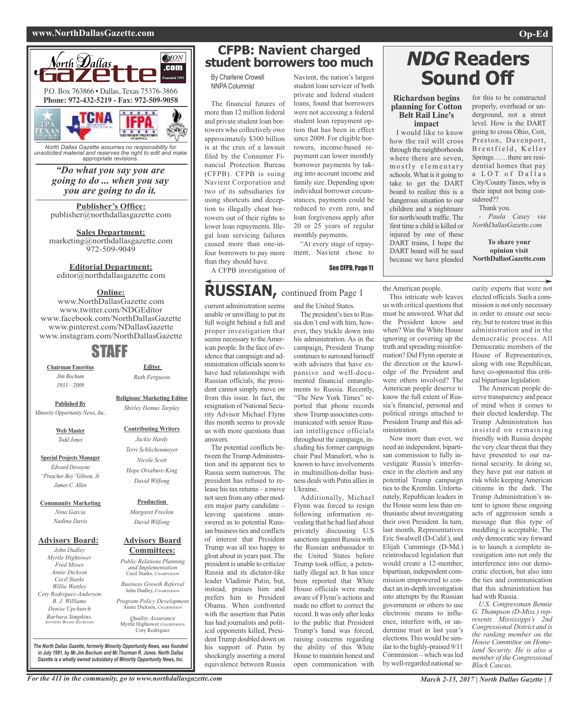#### **www.NorthDallasGazette.com Op-Ed**



*North Dallas Gazette assumes no responsibility for unsolicited material and reserves the right to edit and make appropriate revisions.*

> *"Do what you say you are going to do ... when you say you are going to do it.*

**Publisher's Office:** publisher@northdallasgazette.com

**Sales Department:** marketing@northdallasgazette.com 972-509-9049

## **Editorial Department:**

editor@northdallasgazette.com

### **Online:**

www.NorthDallasGazette.com www.twitter.com/NDGEditor www.facebook.com/NorthDallasGazette www.pinterest.com/NDallasGazette www.instagram.com/NorthDallasGazette

## STAFF

**Chairman Emeritus** *Jim Bochum 1933 – 2009*

**Published By**

**Religious/ Marketing Editor** *Shirley Demus Tarpley*

**Editor** *Ruth Ferguson*

## *Minority Opportunity News, Inc.*

**Web Master** *Todd Jones*

**Special Projects Manager** *Edward Dewayne "Preacher Boy"Gibson, Jr. James C. Allen*

**Community Marketing** *Nina Garcia Nadina Davis*

#### **Advisory Board:**

*John Dudley Myrtle Hightower Fred Moses Annie Dickson Cecil Starks Willie Wattley Coty Rodriguez-Anderson B. J. Williams Denise Upchurch Barbara Simpkins, ADVISORY BOARD SECRETARY*

## **Committees:** *Public Relations Planning and Implementation*

Cecil Starks, CHAIRPERSON

*Program Policy Development*

*Quality Assurance* Myrtle Hightower, CHAIRPERSON Coty Rodriguez

*The North Dallas Gazette, formerly Minority Opportunity News, was founded in July 1991, by Mr.Jim Bochum and Mr.Thurman R. Jones. North Dallas Gazette is a wholly owned subsidairy of Minority Opportunity News, Inc.*

## **CFPB: Navient charged student borrowers too much**

By Charlene Crowell NNPA Columnist

The financial futures of more than 12 million federal and private student loan borrowers who collectively owe approximately \$300 billion is at the crux of a lawsuit filed by the Consumer Financial Protection Bureau (CFPB). CFPB is suing Navient Corporation and two of its subsidiaries for using shortcuts and deception to illegally cheat borrowers out of their rights to lower loan repayments. Illegal loan servicing failures caused more than one-infour borrowers to pay more than they should have.

student loan servicer of both private and federal student loans, found that borrowers were not accessing a federal student loan repayment option that has been in effect since 2009. For eligible borrowers, income-based repayment can lower monthly borrower payments by taking into account income and family size. Depending upon individual borrower circumstances, payments could be reduced to even zero, and loan forgiveness apply after 20 or 25 years of regular monthly payments.

Navient, the nation's largest

"At every stage of repayment, Navient chose to

See CFPB, Page 11

unable or unwilling to put its full weight behind a full and proper investigation that seems necessary to the American people. In the face of evidence that campaign and administration officials seem to have had relationships with Russian officials, the president cannot simply move on from this issue. In fact, the resignation of National Security Advisor Michael Flynn this month seems to provide us with more questions than

A CFPB investigation of

The potential conflicts between the Trump Administration and its apparent ties to Russia seem numerous. The president has refused to release his tax returns – a move notseen from any other modern major party candidate – leaving questions unanswered as to potential Russian business ties and conflicts of interest that President Trump was all too happy to gloat about in years past. The president is unable to criticize Russia and its dictator-like leader Vladimir Putin, but, instead, praises him and prefers him to President Obama. When confronted with the assertion that Putin has had journalists and political opponents killed, PresidentTrump doubled down on his support of Putin by shockingly asserting a moral equivalence between Russia

answers.

current administration seems and the United States. **RUSSIAN,** continued from Page <sup>1</sup>

The president's ties to Russia don't end with him, however, they trickle down into his administration. As in the campaign, President Trump continues to surround himself with advisers that have expansive and well-documented financial entanglements to Russia. Recently, "The New York Times" reported that phone records show Trump associates communicated with senior Russian intelligence officials throughout the campaign, including his former campaign chair Paul Manafort, who is known to have involvements in multimillion-dollar business deals with Putin alliesin Ukraine.

Additionally, Michael Flynn was forced to resign following information revealing that he had lied about privately discussing U.S sanctions against Russia with the Russian ambassador to the United States before Trump took office, a potentially illegal act. It has since been reported that White House officials were made aware of Flynn's actions and made no effort to correct the record. It was only after leaks to the public that President Trump's hand was forced, raising concerns regarding the ability of this White House to maintain honest and open communication with

# **NDG Readers Sound Off**

#### **Richardson begins planning for Cotton Belt Rail Line's impact**

I would like to know how the rail will cross through the neighborhoods where there are seven, m o stly elementary schools. What is it going to take to get the DART board to realize this is a dangerous situation to our children and a nightmare for north/south traffic. The first time a child is killed or injured by one of these DART trains, I hope the DART board will be sued because we have pleaded

the American people.

were others involved? The American people deserve to know the full extent of Russia's financial, personal and political strings attached to President Trump and this ad-

Now more than ever, we need an independent, bipartisan commission to fully investigate Russia's interference in the election and any potential Trump campaign ties to the Kremlin. Unfortunately, Republican leaders in the House seem less than enthusiastic about investigating their own President. In turn, last month, Representatives Eric Swalwell (D-Calif.), and Elijah Cummings (D-Md.) reintroduced legislation that would create a 12-member, bipartisan, independent commission empowered to conduct an in-depth investigation into attempts by the Russian government or others to use electronic means to influence, interfere with, or undermine trust in last year's elections.This would be similar to the highly-praised 9/11 Commission – which was led by well-regarded national se-

ministration.

for this to be constructed properly, overhead or underground, not a street level. How is the DART going to cross Ohio, Coit, Preston, Davenport, Brentfield, Keller Springs……there are residential homes that pay a LOT of Dallas City/County Taxes, why is their input not being considered??

Thank you.

*- Paula Casey via NorthDallasGazette.com*

**To share your opinion visit NorthDallasGazette.com**

This intricate web leaves us with critical questions that must be answered. What did the President know and when? Was the White House ignoring or covering up the truth and spreading misinformation? Did Flynn operate at the direction or the knowledge of the President and curity experts that were not elected officials. Such a commission is not only necessary in order to ensure our security, but to restore trust in this administration and in the democratic process. All Democratic members of the House of Representatives, along with one Republican, have co-sponsored this criti-

> cal bipartisan legislation. The American people deserve transparency and peace of mind when it comes to their elected leadership. The Trump Administration has insisted on remaining friendly with Russia despite the very clear threat that they have presented to our national security. In doing so, they have put our nation at risk while keeping American citizens in the dark. The Trump Administration's intent to ignore these ongoing acts of aggression sends a message that this type of meddling is acceptable. The only democratic way forward is to launch a complete investigation into not only the interference into our democratic election, but also into the ties and communication that this administration has had with Russia.

*U.S. Congressman Bennie G. Thompson (D-Miss.) represents Mississippi's 2nd Congressional District and is the ranking member on the House Committee on Homeland Security. He is also a member of theCongressional Black Caucus.*



**Production** *Margaret Freelon*

*David Wilfong*

## **Advisory Board**

*Business Growth Referral* John Dudley, CHAIRPERSON

Annie Dickson, CHAIRPERS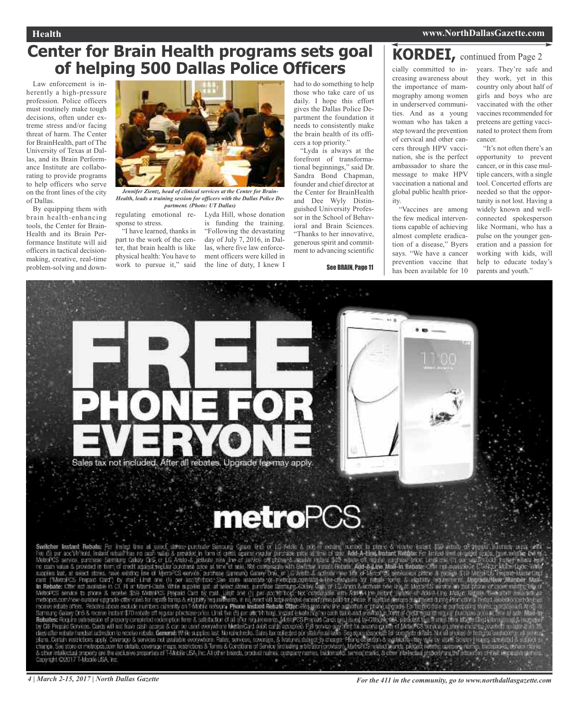## **Center for Brain Health programs sets goal of helping 500 Dallas Police Officers**

Law enforcement is inherently a high-pressure profession. Police officers must routinely make tough decisions, often under extreme stress and/or facing threat of harm. The Center for BrainHealth, part of The University of Texas at Dallas, and its Brain Performance Institute are collaborating to provide programs to help officers who serve on the front lines of the city of Dallas.

By equipping them with brain health-enhancing tools, the Center for Brain-Health and its Brain Performance Institute will aid officers in tactical decisionmaking, creative, real-time problem-solving and down-



*Jennifer Zientz, head of clinical services at the Center for Brain-Health, leads a training session for officers with the Dallas Police Department. (Photo: UT Dallas)*

regulating emotional re-Lyda Hill, whose donation sponse to stress.

"I have learned, thanks in part to the work of the center, that brain health is like physical health: You have to work to pursue it," said

is funding the training. "Following the devastating day of July 7, 2016, in Dallas, where five law enforcement officers were killed in the line of duty, I knew I

had to do something to help those who take care of us daily. I hope this effort gives the Dallas Police Department the foundation it needs to consistently make the brain health of its officers a top priority."

"Lyda is always at the forefront of transformational beginnings," said Dr. Sandra Bond Chapman, founder and chief director at the Center for BrainHealth and Dee Wyly Distinguished University Professor in the School of Behavioral and Brain Sciences. "Thanks to her innovative, generous spirit and commitment to advancing scientific

See BRAIN, Page 11

**KORDEI,** continued from Page <sup>2</sup> cially committed to increasing awareness about the importance of mammography among women in underserved communities. And as a young woman who has taken a step toward the prevention of cervical and other cancers through HPV vaccination, she is the perfect ambassador to share the message to make HPV vaccination a national and global public health prior-

"Vaccines are among the few medical interventions capable of achieving almost complete eradication of a disease," Byers says. "We have a cancer prevention vaccine that has been available for 10

ity.

years. They're safe and they work, yet in this country only about half of girls and boys who are vaccinated with the other vaccines recommended for preteens are getting vaccinated to protect them from cancer.

"It's not often there's an opportunity to prevent cancer, or in this case multiple cancers, with a single tool. Concerted efforts are needed so that the opportunity is not lost. Having a widely known and wellconnected spokesperson like Normani, who has a pulse on the younger generation and a passion for working with kids, will help to educate today's parents and youth."



# **metroPCS**

Switcher Instant Rebels: For more time at each convertise comparison of the contract of the Architecture intervention of the contract of the contract of the contract of the contract of the contract of the contract of the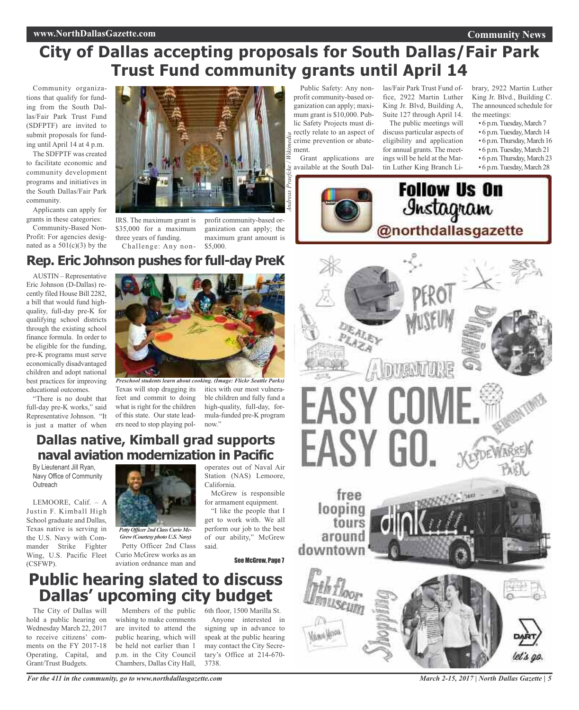#### **www.NorthDallasGazette.com**

## **City of Dallas accepting proposals for South Dallas/Fair Park Trust Fund community grants until April 14**

Community organizations that qualify for funding from the South Dallas/Fair Park Trust Fund (SDFPTF) are invited to submit proposals for funding until April 14 at 4 p.m.

The SDFPTF was created to facilitate economic and community development programs and initiatives in the South Dallas/Fair Park community.

Applicants can apply for grants in these categories:

Community-Based Non-Profit: For agencies designated as a  $501(c)(3)$  by the



IRS. The maximum grant is \$35,000 for a maximum three years of funding. Challenge: Any non-

profit community-based organization can apply; the maximum grant amount is

Public Safety: Any nonprofit community-based organization can apply; maximum grant is \$10,000. Public Safety Projects must directly relate to an aspect of crime prevention or abatement.

Grant applications are available at the South Dal-*Andreas Praefcke / Wikimedia*

las/Fair Park Trust Fund office, 2922 Martin Luther King Jr. Blvd, Building A, Suite 127 through April 14. The public meetings will

discuss particular aspects of eligibility and application for annual grants. The meetings will be held at the Martin Luther King Branch Library, 2922 Martin Luther King Jr. Blvd., Building C. The announced schedule for the meetings:

- 6 p.m.Tuesday, March 7
- 6 p.m.Tuesday, March 14
- 6 p.m.Thursday,March 16
- 6 p.m.Tuesday, March 21 • 6 p.m.Thursday,March 23
- 6 p.m.Tuesday, March 28



\$5,000. **Rep. Eric Johnson pushes for full-day PreK**

AUSTIN – Representative Eric Johnson (D-Dallas) recently filed House Bill 2282, a bill that would fund highquality, full-day pre-K for qualifying school districts through the existing school finance formula. In order to be eligible for the funding, pre-K programs must serve economically disadvantaged children and adopt national best practices for improving educational outcomes.

"There is no doubt that full-day pre-K works," said Representative Johnson. "It is just a matter of when



Texas will stop dragging its itics with our most vulnerafeet and commit to doing what is right for the children of this state. Our state leaders need to stop playing pol-

ble children and fully fund a high-quality, full-day, formula-funded pre-K program now."

## **Dallas native, Kimball grad supports naval aviation modernization in Pacific**

By Lieutenant Jill Ryan, Navy Office of Community **Outreach** 

LEMOORE, Calif. – A Justin F. Kimball High School graduate and Dallas, Texas native is serving in the U.S. Navy with Commander Strike Fighter Wing, U.S. Pacific Fleet (CSFWP).



Petty Officer 2nd Class Curio McGrew works as an aviation ordnance man and *Petty Officer 2nd Class Curio Mc-Grew(Courtesy photo U.S. Navy)*

operates out of Naval Air Station (NAS) Lemoore, California.

McGrew is responsible for armament equipment.

"I like the people that I get to work with. We all perform our job to the best of our ability," McGrew said.

See McGrew, Page 7

## **Public hearing slated to discuss Dallas' upcoming city budget**

The City of Dallas will hold a public hearing on Wednesday March 22, 2017 to receive citizens' comments on the FY 2017-18 Operating, Capital, and Grant/Trust Budgets.

Members of the public wishing to make comments are invited to attend the public hearing, which will be held not earlier than 1 p.m. in the City Council Chambers, Dallas City Hall,

6th floor, 1500 Marilla St. Anyone interested in signing up in advance to speak at the public hearing may contact the City Secretary's Office at 214-670- 3738.



*March 2-15, 2017 | North Dallas Gazette | 5*

*For the 411 in the community, go to www.northdallasgazette.com*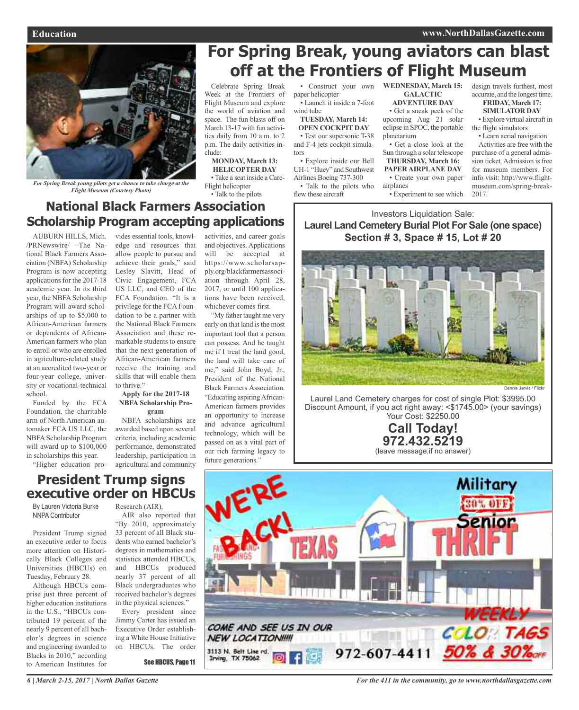#### **Education www.NorthDallasGazette.com**



*For Spring Break young pilots get a chance to take charge at the Flight Museum (Courtesy Photo)*

## **National Black Farmers Association Scholarship Program accepting applications**

AUBURN HILLS, Mich. /PRNewswire/ –The National Black Farmers Association (NBFA) Scholarship Program is now accepting applications for the 2017-18 academic year. In its third year, the NBFA Scholarship Program will award scholarships of up to \$5,000 to African-American farmers or dependents of African-American farmers who plan to enroll or who are enrolled in agriculture-related study at an accredited two-year or four-year college, university or vocational-technical school.

Funded by the FCA Foundation, the charitable arm of North American automaker FCA US LLC, the NBFA Scholarship Program will award up to \$100,000 in scholarships this year.

"Higher education pro-

vides essential tools, knowledge and resources that allow people to pursue and achieve their goals," said Lesley Slavitt, Head of Civic Engagement, FCA US LLC, and CEO of the FCA Foundation. "It is a privilege for the FCA Foundation to be a partner with the National Black Farmers Association and these remarkable students to ensure that the next generation of African-American farmers receive the training and skills that will enable them to thrive."

#### **Apply for the 2017-18 NBFA Scholarship Program**

NBFA scholarships are awarded based upon several criteria, including academic performance, demonstrated leadership, participation in agricultural and community

activities, and career goals and objectives. Applications will be accepted at https://www.scholarsapply.org/blackfarmersassociation through April 28, 2017, or until 100 applications have been received, whichever comes first.

Celebrate Spring Break Week at the Frontiers of Flight Museum and explore the world of aviation and space. The fun blasts off on March 13-17 with fun activities daily from 10 a.m. to 2 p.m. The daily activities in-

**MONDAY, March 13: HELICOPTER DAY** • Take a seat inside a Care-

Flight helicopter • Talk to the pilots

clude:

"My father taught me very early on that land is the most important tool that a person can possess. And he taught me if I treat the land good, the land will take care of me," said John Boyd, Jr., President of the National Black Farmers Association. "Educating aspiringAfrican-American farmers provides an opportunity to increase and advance agricultural technology, which will be passed on as a vital part of our rich farming legacy to future generations."

Construct your own paper helicopter • Launch it inside a 7-foot

wind tube **TUESDAY, March 14: OPEN COCKPIT DAY**

• Test our supersonic T-38 and F-4 jets cockpit simulators • Explore inside our Bell UH-1 "Huey" and Southwest

Airlines Boeing 737-300 • Talk to the pilots who

flew these aircraft

**WEDNESDAY, March 15: GALACTIC**

**For Spring Break, young aviators can blast**

**off at the Frontiers of Flight Museum**

**ADVENTURE DAY**

• Get a sneak peek of the upcoming Aug 21 solar eclipse in SPOC, the portable planetarium

• Get a close look at the Sun through a solar telescope **THURSDAY, March 16: PAPER AIRPLANE DAY**

• Create your own paper airplanes

• Experiment to see which

design travels furthest, most accurate, and the longest time.

#### **FRIDAY, March 17: SIMULATOR DAY**

• Explore virtual aircraft in the flight simulators

• Learn aerial navigation Activities are free with the purchase of a general admission ticket.Admission is free for museum members. For info visit: http://www.flightmuseum.com/spring-break-2017.

Investors Liquidation Sale: **Laurel Land Cemetery Burial Plot For Sale (one space) Section # 3, Space # 15, Lot # 20**



Laurel Land Cemetery charges for cost of single Plot: \$3995.00 Discount Amount, if you act right away: <\$1745.00> (your savings) Your Cost: \$2250.00

> **Call Today! 972.432.5219** (leave message,if no answer)

## **President Trump signs executive order on HBCUs**

By Lauren Victoria Burke NNPA Contributor

President Trump signed an executive order to focus more attention on Historically Black Colleges and Universities (HBCUs) on Tuesday, February 28.

Although HBCUs comprise just three percent of higher education institutions in the U.S., "HBCUs contributed 19 percent of the nearly 9 percent of all bachelor's degrees in science and engineering awarded to Blacks in 2010," according to American Institutes for

Research (AIR).

AIR also reported that "By 2010, approximately 33 percent of all Black students who earned bachelor's degrees in mathematics and statistics attended HBCUs, and HBCUs produced nearly 37 percent of all Black undergraduates who received bachelor's degrees in the physical sciences."

Every president since Jimmy Carter has issued an Executive Order establishing a White House Initiative on HBCUs. The order

See HBCUS, Page 11

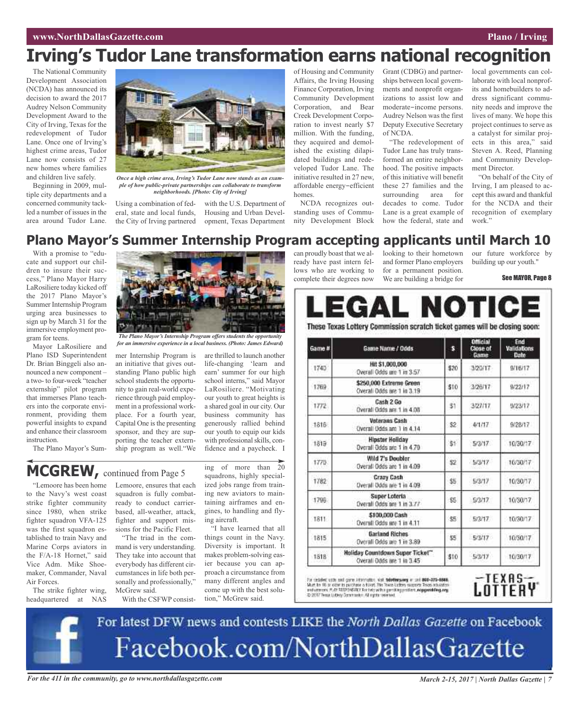## **Irving's Tudor Lane transformation earns national recognition**

The National Community Development Association (NCDA) has announced its decision to award the 2017 Audrey Nelson Community Development Award to the City of Irving, Texas for the redevelopment of Tudor Lane. Once one of Irving's highest crime areas, Tudor Lane now consists of 27 new homes where families and children live safely.

Beginning in 2009, multiple city departments and a concerned community tackled a number of issues in the area around Tudor Lane.



*Once a high crime area, Irving's Tudor Lane now stands as an example of how public-private partnerships can collaborate to transform neighborhoods. [Photo: City of Irving]*

Using a combination of federal, state and local funds, the City of Irving partnered

with the U.S. Department of Housing and Urban Development, Texas Department of Housing and Community Affairs, the Irving Housing Finance Corporation, Irving Community Development Corporation, and Bear Creek Development Corporation to invest nearly \$7 million. With the funding, they acquired and demolished the existing dilapidated buildings and redeveloped Tudor Lane. The initiative resulted in 27 new, affordable energy-efficient homes.

NCDA recognizes outstanding uses of Community Development Block Grant (CDBG) and partnerships between local governments and nonprofit organizations to assist low and moderate-income persons. Audrey Nelson was the first Deputy Executive Secretary of NCDA.

"The redevelopment of Tudor Lane has truly transformed an entire neighborhood. The positive impacts of this initiative will benefit these 27 families and the surrounding area for decades to come. Tudor Lane is a great example of how the federal, state and local governments can collaborate with local nonprofits and homebuilders to address significant community needs and improve the lives of many. We hope this project continues to serve as a catalyst for similar projects in this area," said Steven A. Reed, Planning and Community Development Director.

"On behalf of the City of Irving, I am pleased to accept this award and thankful for the NCDA and their recognition of exemplary work."

## **Plano Mayor's Summer Internship Program accepting applicants until March 10**

With a promise to "educate and support our children to insure their success," Plano Mayor Harry LaRosiliere today kicked off the 2017 Plano Mayor's Summer Internship Program urging area businesses to sign up by March 31 for the immersive employment program for teens.

Mayor LaRosiliere and Plano ISD Superintendent Dr. Brian Binggeli also announced a new component – a two- to four-week "teacher externship" pilot program that immerses Plano teachers into the corporate environment, providing them powerful insights to expand and enhance their classroom instruction.

*The Plano Mayor's Internship Program offers students the opportunity for an immersive experience in a local business. (Photo: James Edward)*

mer Internship Program is an initiative that gives outstanding Plano public high school students the opportunity to gain real-world experience through paid employment in a professional workplace. For a fourth year, Capital One is the presenting sponsor, and they are supporting the teacher externship program as well."We

The Plano Mayor's Sum-

are thrilled to launch another life-changing 'learn and earn' summer for our high school interns," said Mayor LaRosiliere. "Motivating our youth to great heights is a shared goal in our city. Our business community has generously rallied behind our youth to equip our kids with professional skills, confidence and a paycheck. I

**MCGREW,** continued from Page <sup>5</sup>

"Lemoore has been home to the Navy's west coast strike fighter community since 1980, when strike fighter squadron VFA-125 was the first squadron established to train Navy and Marine Corps aviators in the F/A-18 Hornet," said Vice Adm. Mike Shoemaker, Commander, Naval Air Forces.

The strike fighter wing, headquartered at NAS Lemoore, ensures that each squadron is fully combatready to conduct carrierbased, all-weather, attack, fighter and support missions for the Pacific Fleet.

"The triad in the command is very understanding. They take into account that everybody has different circumstances in life both personally and professionally," McGrew said.

With the CSFWP consist-

ing of more than 20 squadrons, highly specialized jobs range from training new aviators to maintaining airframes and engines, to handling and flying aircraft.

"I have learned that all things count in the Navy. Diversity is important. It makes problem-solving easier because you can approach a circumstance from many different angles and come up with the best solution," McGrew said.

can proudly boast that we already have past intern fellows who are working to complete their degrees now

looking to their hometown and former Plano employers for a permanent position. We are building a bridge for

our future workforce by building up our youth."

See MAYOR, Page 8



These Texas Lottery Commission scratch ticket games will be closing soon:

| Game #  | Game Name / Odds                                              | s    | <b>Official</b><br>Close of<br>Game | End<br>Validations<br>Date: |
|---------|---------------------------------------------------------------|------|-------------------------------------|-----------------------------|
| 1740    | Hit \$1,000,000<br>Overall Odds are 1 in 3.57                 | \$20 | 3/20/17                             | 9/16/17                     |
| 1769    | \$250,000 Extreme Green<br>Overall Odds are 1 in 3.19         | \$10 | 3/26/17                             | 9/22/17                     |
| 1772    | Cash 2 Go<br>Overall Odds are 1 in 4.08                       | \$1  | 3/27/17                             | 9/23/17                     |
| $-1816$ | Veterans Cash<br>Overall Odds are 1 in 4.14                   | \$2  | 4/1/17                              | 9/28/17                     |
| 1819    | <b>Hipster Holiday</b><br>Overall Odds are 1 in 4.70.         | šť.  | 5/3/17                              | 10/30/17                    |
| 1770    | Wild 7's Doubler<br>Overall Odds are 1 in 4.09                | \$2  | 5/3/17                              | 10/30/17                    |
| 1782    | <b>Crazy Cash</b><br>Overall Odds are 1 in 4.09.              | \$5  | 5/3/17                              | 10/30/17                    |
| 1796    | Super Loteria<br>Overall Odds are 1 in 3.77                   | \$5. | 5/3/17                              | 10/30/17                    |
| 1811    | \$100,000 Cash<br>Overall Odds are 1 in 4.11                  | \$5  | 5/3/17                              | 10/30/17                    |
| 1815    | Garland Riches<br>Overall Odds are 1 in 3.89                  | \$5  | 5/3/17                              | 10/30/17                    |
| 1818    | Holiday Countdown Super Ticket"<br>Overall Odds are 1 in 3.45 | \$10 | 5/3/17                              | 10/30/17                    |

For detailed units and game internation, slot **fabrications, and also drawings** in the **SEO-375-6000.**<br>Most by 16 in other to perchase a third; The Toers Lattery support Toers advication and versures. Puth SEOP (MSR) for



For latest DFW news and contests LIKE the North Dallas Gazette on Facebook Facebook.com/NorthDallasGazette

For the 411 in the community, go to www.northdallasgazette.com March 2-15, 2017 | North Dallas Gazette | 7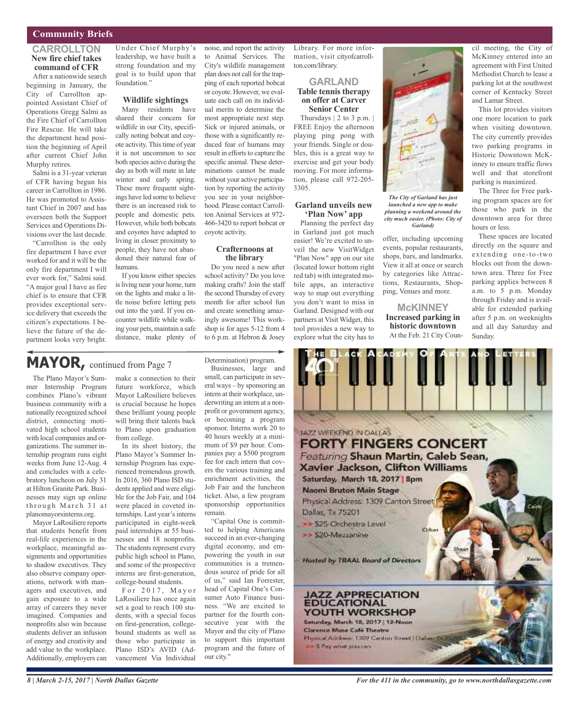## **Community Briefs**

#### **CARROLLTON New fire chief takes command of CFR**

After a nationwide search beginning in January, the City of Carrollton appointed Assistant Chief of Operations Gregg Salmi as the Fire Chief of Carrollton Fire Rescue. He will take the department head position the beginning of April after current Chief John Murphy retires.

Salmi is a 31-year veteran of CFR having begun his career in Carrollton in 1986. He was promoted to Assistant Chief in 2007 and has overseen both the Support Services and Operations Divisions over the last decade.

"Carrollton is the only fire department I have ever worked for and it will be the only fire department I will ever work for," Salmi said. "A major goal I have as fire chief is to ensure that CFR provides exceptional service delivery that exceeds the citizen's expectations. I believe the future of the department looks very bright.

Under Chief Murphy's leadership, we have built a strong foundation and my goal is to build upon that foundation."

## **Wildlife sightings**

Many residents have shared their concern for wildlife in our City, specifically noting bobcat and coyote activity. This time of year it is not uncommon to see both species active during the day as both will mate in late winter and early spring. These more frequent sightings have led some to believe there is an increased risk to people and domestic pets. However, while both bobcats and coyotes have adapted to living in closer proximity to people, they have not abandoned their natural fear of humans.

If you know either species is living near your home, turn on the lights and make a little noise before letting pets out into the yard. If you encounter wildlife while walking your pets, maintain a safe distance, make plenty of

to Animal Services. The City's wildlife management plan does not call for the trapping of each reported bobcat or coyote. However, we evaluate each call on its individual merits to determine the most appropriate next step. Sick or injured animals, or those with a significantly reduced fear of humans may result in efforts to capture the specific animal. These determinations cannot be made without your active participation by reporting the activity you see in your neighborhood. Please contact Carrollton Animal Services at 972- 466-3420 to report bobcat or coyote activity.

noise, and report the activity

#### **Crafternoons at the library**

Do you need a new after school activity? Do you love making crafts? Join the staff the second Thursday of every month for after school fun and create something amazingly awesome! This workshop is for ages 5-12 from 4 to 6 p.m. at Hebron & Josey

## **MAYOR,** continued from Page <sup>7</sup>

The Plano Mayor's Summer Internship Program combines Plano's vibrant business community with a nationally recognized school district, connecting motivated high school students with local companies and organizations. The summer internship program runs eight weeks from June 12-Aug. 4 and concludes with a celebratory luncheon on July 31 at Hilton Granite Park. Businesses may sign up online through March 31 at planomayorsinterns.org.

Mayor LaRosiliere reports that students benefit from real-life experiences in the workplace, meaningful assignments and opportunities to shadow executives. They also observe company operations, network with managers and executives, and gain exposure to a wide array of careers they never imagined. Companies and nonprofits also win because students deliver an infusion of energy and creativity and add value to the workplace. Additionally, employers can

make a connection to their future workforce, which Mayor LaRosiliere believes is crucial because he hopes these brilliant young people will bring their talents back to Plano upon graduation from college.

In its short history, the Plano Mayor's Summer Internship Program has experienced tremendous growth. In 2016, 360 Plano ISD students applied and were eligible for the Job Fair, and 104 were placed in coveted internships. Last year's interns participated in eight-week paid internships at 55 businesses and 18 nonprofits. The students represent every public high school in Plano, and some of the prospective interns are first-generation, college-bound students.

For  $2017$ , Mayor LaRosiliere has once again set a goal to reach 100 students, with a special focus on first-generation, collegebound students as well as those who participate in Plano ISD's AVID (Advancement Via Individual

Determination) program.

Businesses, large and small, can participate in several ways – by sponsoring an intern at their workplace, underwriting an intern at a nonprofit or government agency, or becoming a program sponsor. Interns work 20 to 40 hours weekly at a minimum of \$9 per hour. Companies pay a \$500 program fee for each intern that covers the various training and enrichment activities, the Job Fair and the luncheon ticket. Also, a few program sponsorship opportunities remain.

"Capital One is committed to helping Americans succeed in an ever-changing digital economy, and empowering the youth in our communities is a tremendous source of pride for all of us," said Ian Forrester, head of Capital One's Consumer Auto Finance business. "We are excited to partner for the fourth consecutive year with the Mayor and the city of Plano to support this important program and the future of our city."

Library. For more information, visit cityofcarrollton.com/library.

#### **GARLAND Table tennis therapy on offer at Carver Senior Center**

Thursdays  $| 2$  to 3 p.m.  $|$ FREE Enjoy the afternoon playing ping pong with your friends. Single or doubles, this is a great way to exercise and get your body moving. For more information, please call 972-205- 3305.

#### **Garland unveils new 'Plan Now' app**

Planning the perfect day in Garland just got much easier! We're excited to unveil the new VisitWidget "Plan Now" app on our site (located lower bottom right red tab) with integrated mobile apps, an interactive way to map out everything you don't want to miss in Garland. Designed with our partners at Visit Widget, this tool provides a new way to explore what the city has to



*launched a new app to make planning a weekend around the city much easier. (Photo: City of Garland)*

offer, including upcoming events, popular restaurants, shops, bars, and landmarks. View it all at once or search by categories like Attractions, Restaurants, Shopping, Venues and more.

**McKINNEY Increased parking in historic downtown** At the Feb. 21 City Coun-

cil meeting, the City of McKinney entered into an agreement with First United Methodist Church to lease a parking lot at the southwest corner of Kentucky Street and Lamar Street.

This lot provides visitors one more location to park when visiting downtown. The city currently provides two parking programs in Historic Downtown McKinney to ensure traffic flows well and that storefront parking is maximized.

The Three for Free parking program spaces are for those who park in the downtown area for three hours or less.

These spaces are located directly on the square and extending one-to-two blocks out from the downtown area. Three for Free parking applies between 8 a.m. to 5 p.m. Monday through Friday and is available for extended parking after 5 p.m. on weeknights and all day Saturday and Sunday.



*For the 411 in the community, go to www.northdallasgazette.com*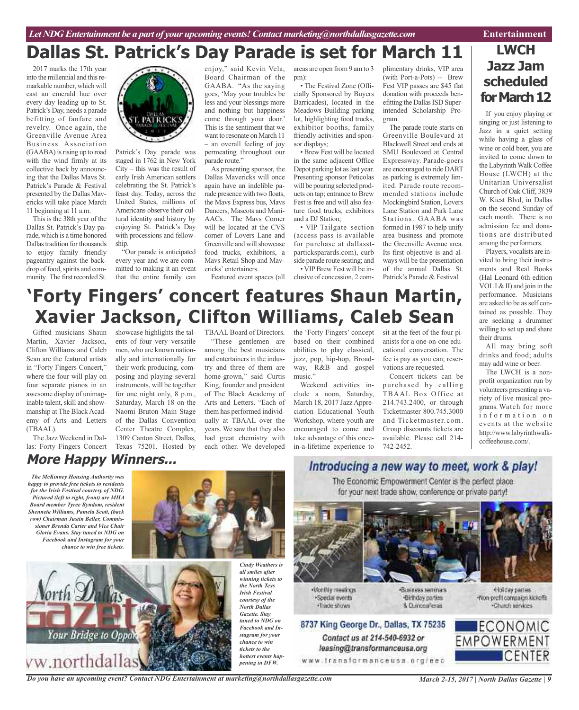## **Dallas St. Patrick's Day Parade is set for March 11**

2017 marks the 17th year into the millennial and this remarkable number, which will cast an emerald hue over every day leading up to St. Patrick's Day, needs a parade befitting of fanfare and revelry. Once again, the Greenville Avenue Area Business Association (GAABA) is rising up to road with the wind firmly at its collective back by announcing that the Dallas Mavs St. Patrick's Parade & Festival presented by the Dallas Mavericks will take place March 11 beginning at 11 a.m.

This is the 38th year of the Dallas St. Patrick's Day parade, which is a time honored Dallas tradition for thousands to enjoy family friendly pageantry against the backdrop of food, spirits and community. The first recorded St.



Patrick's Day parade was staged in 1762 in New York City – this was the result of early Irish American settlers celebrating the St. Patrick's feast day. Today, across the United States, millions of Americans observe their cultural identity and history by enjoying St. Patrick's Day with processions and fellowship.

"Our parade is anticipated every year and we are committed to making it an event that the entire family can

enjoy," said Kevin Vela, Board Chairman of the GAABA. "As the saying goes, 'May your troubles be less and your blessings more and nothing but happiness come through your door.' This is the sentiment that we want to resonate on March 11 – an overall feeling of joy permeating throughout our parade route."

As presenting sponsor, the Dallas Mavericks will once again have an indelible parade presence with two floats, the Mavs Express bus, Mavs Dancers, Mascots and Mani-AACs. The Mavs Corner will be located at the CVS corner of Lovers Lane and Greenville and will showcase food trucks, exhibitors, a Mavs Retail Shop and Mavericks' entertainers.

Featured event spaces (all

areas are open from 9 am to 3 pm):

• The Festival Zone (Officially Sponsored by Buyers Barricades), located in the Meadows Building parking lot, highlighting food trucks, exhibitor booths, family friendly activities and sponsor displays;

• Brew Fest will be located in the same adjacent Office Depot parking lot as last year. Presenting sponsor Peticolas will be pouring selected products on tap; entrance to Brew Fest is free and will also feature food trucks, exhibitors and a DJ Station;

• VIP Tailgate section (access pass is available for purchase at dallasstparticksparards.com), curb side parade route seating; and • VIP Brew Fest will be in-

clusive of concession, 2 com-

plimentary drinks, VIP area (with Port-a-Pots) -- Brew Fest VIP passes are \$45 flat donation with proceeds benefitting the Dallas ISD Superintended Scholarship Program.

The parade route starts on Greenville Boulevard at Blackwell Street and ends at SMU Boulevard at Central Expressway. Parade-goers are encouraged to ride DART as parking is extremely limited. Parade route recommended stations include Mockingbird Station, Lovers Lane Station and Park Lane Stations. GAABA was formed in 1987 to help unify area business and promote the Greenville Avenue area. Its first objective is and always will be the presentation of the annual Dallas St. Patrick's Parade & Festival.

## **LWCH Jazz Jam scheduled** for March 12

If you enjoy playing or singing or just listening to Jazz in a quiet setting while having a glass of wine or cold beer, you are invited to come down to the Labyrinth Walk Coffee House (LWCH) at the Unitarian Universalist Church of Oak Cliff, 3839 W. Kiest Blvd, in Dallas on the second Sunday of each month. There is no admission fee and donations are distributed among the performers.

Players, vocalists are invited to bring their instruments and Real Books (Hal Leonard 6th edition VOLI & II) and join in the performance. Musicians are asked to be asself contained as possible. They are seeking a drummer willing to set up and share their drums.

All may bring soft drinks and food; adults may add wine or beer.

The LWCH is a nonprofit organization run by volunteers presenting a variety of live musical programs. Watch for more information on events at the website http://www.labyrinthwalkcoffeehouse.com/.

# **'Forty Fingers' concert features Shaun Martin, Xavier Jackson, Clifton Williams, Caleb Sean**

Gifted musicians Shaun Martin, Xavier Jackson, Clifton Williams and Caleb Sean are the featured artists in "Forty Fingers Concert," where the four will play on four separate pianos in an awesome display of unimaginable talent, skill and showmanship at The Black Academy of Arts and Letters (TBAAL).

The Jazz Weekend in Dallas: Forty Fingers Concert Texas 75201. Hosted by

showcase highlights the talents of four very versatile men, who are known nationally and internationally for their work producing, composing and playing several instruments, will be together for one night only, 8 p.m., Saturday, March 18 on the Naomi Bruton Main Stage of the Dallas Convention Center Theatre Complex, 1309 Canton Street, Dallas,

TBAAL Board of Directors. "These gentlemen are among the best musicians and entertainers in the industry and three of them are home-grown," said Curtis King, founder and president of The Black Academy of Arts and Letters. "Each of them has performed individually at TBAAL over the years. We saw that they also had great chemistry with each other. We developed

the 'Forty Fingers' concept based on their combined abilities to play classical, jazz, pop, hip-hop, Broadway, R&B and gospel music."

Weekend activities include a noon, Saturday, March 18, 2017 Jazz Appreciation Educational Youth Workshop, where youth are encouraged to come and take advantage of this oncein-a-lifetime experience to sit at the feet of the four pianists for a one-on-one educational conversation. The fee is pay as you can; reservations are requested.

Concert tickets can be purchased by calling TBAAL Box Office at 214.743.2400, or through Ticketmaster 800.745.3000 and Ticketmaster.com. Group discounts tickets are available. Please call 214- 742-2452.

## **More Happy Winners...**

*The McKinney Housing Authority was happy to provide free tickets to residents for the Irish Festival courtesy of NDG. Pictured (left to right, front) are MHA Board member Tyree Byndom, resident Shenneta Williams, Pamela Scott, (back row) Chairman Justin Beller, Commissioner Brenda Carter and Vice Chair Gloria Evans. Stay tuned to NDG on Facebook and Instagram for your chance to win free tickets.*





*Cindy Weathers is all smiles after winning tickets to the North Texs Irish Festival courtesy of the North Dallas Gazette. Stay tuned to NDG on Facebook and Instagram for your chance to win tickets to the hottest events happening in DFW.*

## Introducing a new way to meet, work & play!

The Economic Empowerment Center is the perfect place for your next trade show, conference or private party!



Nonthly meetings ·Special events . Trade shows

Contact us at 214-540-6932 or

leasing@transformanceusa.org

·Business seminars ·Birthday parties Non-profit compaign kickoffs 8 Currosafena



«Holday parties.

-Church services

*Do you have an upcoming event? Contact NDG Entertainment at marketing@northdallasgazette.com*

*March 2-15, 2017 | North Dallas Gazette | 9*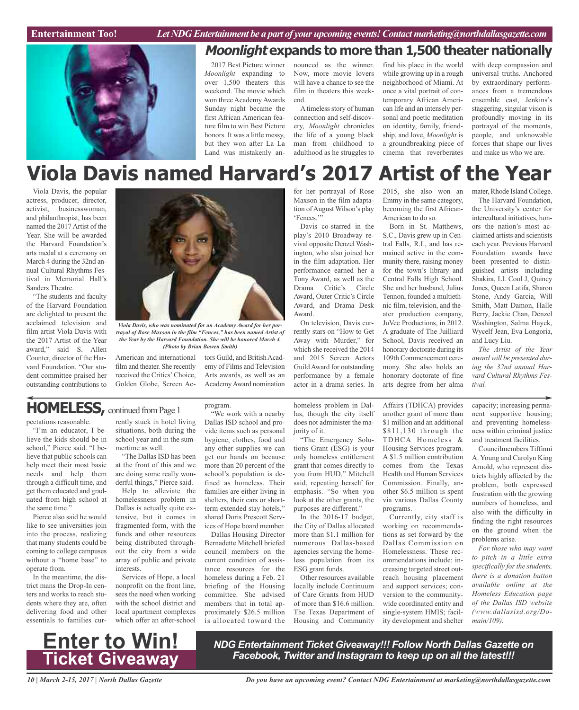

## **Moonlight expands to more than 1,500 theater nationally**

2017 Best Picture winner *Moonlight* expanding to over 1,500 theaters this weekend. The movie which won three Academy Awards Sunday night became the first African American feature film to win Best Picture honors. It was a little messy, but they won after La La Land was mistakenly announced as the winner. Now, more movie lovers will have a chance to see the film in theaters this weekend.

Atimeless story of human connection and self-discovery, *Moonlight* chronicles the life of a young black man from childhood to adulthood as he struggles to find his place in the world while growing up in a rough neighborhood of Miami. At once a vital portrait of contemporary African American life and an intensely personal and poetic meditation on identity, family, friendship, and love, *Moonlight* is a groundbreaking piece of cinema that reverberates

with deep compassion and universal truths. Anchored by extraordinary performances from a tremendous ensemble cast, Jenkins's staggering, singular vision is profoundly moving in its portrayal of the moments, people, and unknowable forces that shape our lives and make us who we are.

# **Viola Davis named Harvard's 2017 Artist of the Year**

Viola Davis, the popular actress, producer, director, activist, businesswoman, and philanthropist, has been named the 2017 Artist of the Year. She will be awarded the Harvard Foundation's arts medal at a ceremony on March 4 during the 32nd annual Cultural Rhythms Festival in Memorial Hall's Sanders Theatre.

"The students and faculty of the Harvard Foundation are delighted to present the acclaimed television and film artist Viola Davis with the 2017 Artist of the Year award," said S. Allen Counter, director of the Harvard Foundation. "Our student committee praised her outstanding contributions to



*Viola Davis, who was nominated for an Academy Award for her portrayal of Rose Maxson in the film "Fences," has been named Artist of the Year by the Harvard Foundation. She will be honored March 4. (Photo by Brian Bowen Smith)*

American and international film and theater. She recently received the Critics'Choice, Golden Globe, Screen Actors Guild, and British Academy of Films and Television Arts awards, as well as an AcademyAward nomination Maxson in the film adaptation of August Wilson's play 'Fences.'"

Davis co-starred in the play's 2010 Broadway revival opposite Denzel Washington, who also joined her in the film adaptation. Her performance earned her a Tony Award, as well as the Drama Critic's Circle Award, Outer Critic's Circle Award, and Drama Desk Award.

On television, Davis currently stars on "How to Get Away with Murder," for which she received the 2014 and 2015 Screen Actors GuildAward for outstanding performance by a female actor in a drama series. In

for her portrayal of Rose 2015, she also won an Emmy in the same category, becoming the first African-American to do so.

> Born in St. Matthews, S.C., Davis grew up in Central Falls, R.I., and has remained active in the community there, raising money for the town's library and Central Falls High School. She and her husband, Julius Tennon, founded a multiethnic film, television, and theater production company, JuVee Productions, in 2012. A graduate of The Juilliard School, Davis received an honorary doctorate during its 109th Commencement ceremony. She also holds an honorary doctorate of fine arts degree from her alma

mater, Rhode Island College.

The Harvard Foundation, the University's center for intercultural initiatives, honors the nation's most acclaimed artists and scientists each year. Previous Harvard Foundation awards have been presented to distinguished artists including Shakira, LL Cool J, Quincy Jones, Queen Latifa, Sharon Stone, Andy Garcia, Will Smith, Matt Damon, Halle Berry, Jackie Chan, Denzel Washington, Salma Hayek, Wycelf Jean, Eva Longoria, and Lucy Liu.

*The Artist of the Year award will be presented during the 32nd annual Harvard Cultural Rhythms Festival.*

## **HOMELESS, continued from Page 1**

pectations reasonable.

"I'm an educator, I believe the kids should be in school," Pierce said. "I believe that public schools can help meet their most basic needs and help them through a difficult time, and get them educated and graduated from high school at the same time."

Pierce also said he would like to see universities join into the process, realizing that many students could be coming to college campuses without a "home base" to operate from.

In the meantime, the district mans the Drop-In centers and works to reach students where they are, often delivering food and other essentials to families currently stuck in hotel living situations, both during the school year and in the summertime as well.

"The Dallas ISD has been at the front of this and we are doing some really wonderful things," Pierce said.

Help to alleviate the homelessness problem in Dallas is actually quite extensive, but it comes in fragmented form, with the funds and other resources being distributed throughout the city from a wide array of public and private interests.

Services of Hope, a local nonprofit on the front line, sees the need when working with the school district and local apartment complexes which offer an after-school

### program.

"We work with a nearby Dallas ISD school and provide items such as personal hygiene, clothes, food and any other supplies we can get our hands on because more than 20 percent of the school's population is defined as homeless. Their families are either living in shelters, their cars or shortterm extended stay hotels," shared Doris Prescott Services of Hope board member.

Dallas Housing Director Bernadette Mitchell briefed council members on the current condition of assistance resources for the homeless during a Feb. 21 briefing of the Housing committee. She advised members that in total approximately \$26.5 million is allocated toward the

homeless problem in Dallas, though the city itself does not administer the majority of it.

"The Emergency Solutions Grant (ESG) is your only homeless entitlement grant that comes directly to you from HUD," Mitchell said, repeating herself for emphasis. "So when you look at the other grants, the purposes are different."

In the 2016-17 budget, the City of Dallas allocated more than \$1.1 million for numerous Dallas-based agencies serving the homeless population from its ESG grant funds.

Other resources available locally include Continuum of Care Grants from HUD of more than \$16.6 million. The Texas Department of Housing and Community

Affairs (TDHCA) provides another grant of more than \$1 million and an additional \$811,130 through the TDHCA Homeless & Housing Services program. A \$1.5 million contribution comes from the Texas Health and Human Services Commission. Finally, another \$6.5 million is spent via various Dallas County programs.

Currently, city staff is working on recommendations as set forward by the Dallas Commission on Homelessness. These recommendations include: increasing targeted street outreach housing placement and support services; conversion to the communitywide coordinated entity and single-system HMIS; facility development and shelter capacity; increasing permanent supportive housing; and preventing homelessness within criminal justice and treatment facilities.

Councilmembers Tiffinni A. Young and Carolyn King Arnold, who represent districts highly affected by the problem, both expressed frustration with the growing numbers of homeless, and also with the difficulty in finding the right resources on the ground when the problems arise.

*For those who may want to pitch in a little extra specifically for the students, there is a donation button available online at the Homeless Education page of the Dallas ISD website (www.dallasisd.org/Domain/109).*



*NDG Entertainment Ticket Giveaway!!! Follow North Dallas Gazette on Facebook, Twitter and Instagram to keep up on all the latest!!!*

*10 | March 2-15, 2017 | North Dallas Gazette*

*Do you have an upcoming event? Contact NDG Entertainment at marketing@northdallasgazette.com*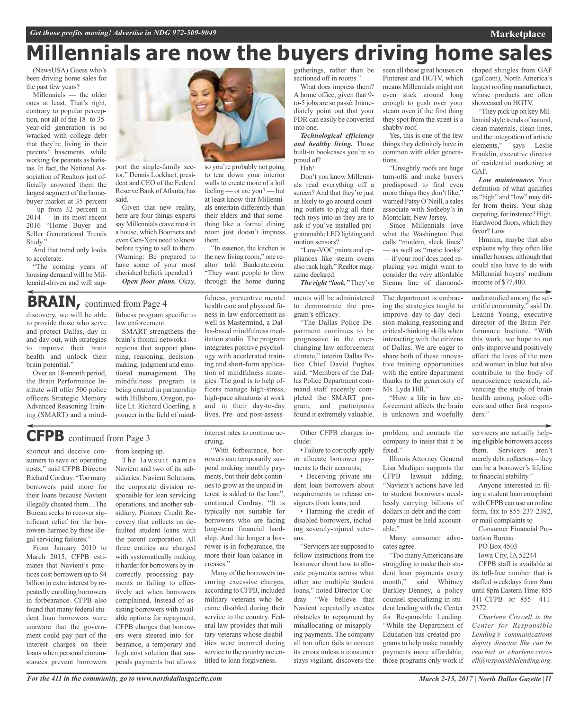# **Millennials are now the buyers driving home sales**

(NewsUSA) Guess who's been driving home sales for the past few years?

Millennials — the older ones at least. That's right, contrary to popular perception, not all of the 18- to 35 year-old generation is so wracked with college debt that they're living in their parents' basements while working for peanuts as baristas. In fact, the National Association of Realtors just officially crowned them the largest segment of the homebuyer market at 35 percent — up from 32 percent in  $2014 - in$  its most recent 2016 "Home Buyer and Seller Generational Trends Study."

And that trend only looks to accelerate.

"The coming years of housing demand will be Millennial-driven and will sup-



them.

tor," Dennis Lockhart, president and CEO of the Federal Reserve Bank of Atlanta, has said.

Given that new reality, here are four things experts say Millennials crave most in a house, which Boomers and even Gen-Xers need to know before trying to sell to them. (Warning: Be prepared to have some of your most cherished beliefs upended.) *Open floor plans.* Okay,

## **BRAIN**, continued from Page 4

discovery, we will be able to provide those who serve and protect Dallas, day in and day out, with strategies to improve their brain health and unlock their brain potential."

Over an 18-month period, the Brain Performance Institute will offer 500 police officers Strategic Memory Advanced Reasoning Training (SMART) and a mindfulness program specific to law enforcement.

SMART strengthens the brain's frontal networks regions that support planning, reasoning, decisionmaking, judgment and emotional management. The mindfulness program is being created in partnership with Hillsboro, Oregon, police Lt. Richard Goerling, a pioneer in the field of mind-

# **CFPB** continued from Page <sup>3</sup>

shortcut and deceive consumers to save on operating costs," said CFPB Director Richard Cordray. "Too many borrowers paid more for their loans because Navient illegally cheated them…The Bureau seeks to recover significant relief for the borrowers harmed by these illegal servicing failures."

From January 2010 to March 2015, CFPB estimates that Navient's practices cost borrowers up to \$4 billion in extra interest by repeatedly enrolling borrowers in forbearance. CFPB also found that many federal student loan borrowers were unaware that the government could pay part of the interest charges on their loans when personal circumstances prevent borrowers from keeping up.

The lawsuit names Navient and two of its subsidiaries: Navient Solutions, the corporate division responsible for loan servicing operations, and another subsidiary, Pioneer Credit Recovery that collects on defaulted student loans with the parent corporation. All three entities are charged with systematically making it harder for borrowers by incorrectly processing payments or failing to effectively act when borrowers complained. Instead of assisting borrowers with available options for repayment, CFPB charges that borrowers were steered into forbearance, a temporary and high cost solution that suspends payments but allows

interest rates to continue accruing.

fulness, preventive mental health care and physical fitness in law enforcement as well as Mastermind, a Dallas-based mindfulness meditation studio. The program integrates positive psychology with accelerated training and short-form application of mindfulness strategies. The goal is to help officers manage high-stress, high-pace situations at work and in their day-to-day lives. Pre- and post-assess-

"In essence, the kitchen is the new living room," one realtor told Bankrate.com. "They want people to flow through the home during

walls to create more of a loft feeling — or are you? — but at least know that Millennials entertain differently than their elders and that something like a formal dining room just doesn't impress

"With forbearance, borrowers can temporarily suspend making monthly payments, but their debt continuesto grow asthe unpaid interest is added to the loan", continued Cordray. "It is typically not suitable for borrowers who are facing long-term financial hardship. And the longer a borrower is in forbearance, the more their loan balance increases."

Many of the borrowers incurring excessive charges, according to CFPB, included military veterans who became disabled during their service to the country. Federal law provides that military veterans whose disabilities were incurred during service to the country are entitled to loan forgiveness.

gatherings, rather than be sectioned off in rooms."

What does impress them? A home office, given that 9 to-5 jobs are so passé. Immediately point out that your FDR can easily be converted into one.

*Technological efficiency and healthy living.* Those built-in bookcases you're so proud of?

Hah!

Don't you know Millennials read everything off a screen? And that they're just as likely to go around counting outlets to plug all their tech toys into as they are to ask if you've installed programmable LED lighting and motion sensors?

"Low-VOC paints and appliances like steam ovens also rank high," Realtor magazine declared. *The right "look."* They've

ments will be administered to demonstrate the program's efficacy.

"The Dallas Police Department continues to be progressive in the everchanging law enforcement climate," interim Dallas Police Chief David Pughes said. "Members of the Dallas Police Department command staff recently completed the SMART program, and participants found it extremely valuable.

Other CFPB charges include:

• Failure to correctly apply or allocate borrower payments to their accounts;

• Deceiving private student loan borrowers about requirements to release cosigners from loans; and

• Harming the credit of disabled borrowers, including severely-injured veterans.

"Servicers are supposed to follow instructions from the borrower about how to allocate payments across what often are multiple student loans," noted Director Cordray. "We believe that Navient repeatedly creates obstacles to repayment by misallocating or misapplying payments. The company all too often fails to correct its errors unless a consumer stays vigilant, discovers the

seen all these great houses on Pinterest and HGTV, which means Millennials might not even stick around long enough to gush over your steam oven if the first thing they spot from the street is a shabby roof.

Yes, this is one of the few things they definitely have in common with older generations.

"Unsightly roofs are huge turn-offs and make buyers predisposed to find even more things they don't like," warned Patsy O'Neill, a sales associate with Sotheby's in Montclair, New Jersey.

Since Millennials love what the Washington Post calls "modern, sleek lines"

— as well as "rustic looks" — if your roof does need replacing you might want to consider the very affordable Sienna line of diamond-

The department is embracing the strategies taught to improve day-to-day decision-making, reasoning and critical-thinking skills when interacting with the citizens of Dallas. We are eager to share both of these innovative training opportunities with the entire department thanks to the generosity of Ms. Lyda Hill."

"How a life in law enforcement affects the brain is unknown and woefully

problem, and contacts the company to insist that it be fixed."

Illinois Attorney General Lisa Madigan supports the CFPB lawsuit adding, "Navient's actions have led to student borrowers needlessly carrying billions of dollars in debt and the company must be held accountable."

Many consumer advocates agree.

"Too manyAmericans are struggling to make their student loan payments every month," said Whitney Barkley-Denney, a policy counsel specializing in student lending with the Center for Responsible Lending. "While the Department of Education has created programsto help make monthly payments more affordable, those programs only work if

shaped shingles from GAF (gaf.com), North America's largest roofing manufacturer, whose products are often showcased on HGTV.

**Marketplace**

"They pick up on key Millennial style trends of natural, clean materials, clean lines, and the integration of artistic elements," says Leslie Franklin, executive director of residential marketing at GAF.

*Low maintenance.* Your definition of what qualifies as "high" and "low" may differ from theirs. Your shag carpeting, for instance? High. Hardwood floors, which they favor? Low.

Hmmm, maybe that also explains why they often like smaller houses, although that could also have to do with Millennial buyers' medium income of \$77,400.

understudied among the scientific community," said Dr. Leanne Young, executive director of the Brain Performance Institute. "With this work, we hope to not only improve and positively affect the lives of the men and women in blue but also contribute to the body of neuroscience research, advancing the study of brain health among police officers and other first responders."

servicers are actually helping eligible borrowers access them. Servicers aren't merely debt collectors – they can be a borrower's lifeline to financial stability."

Anyone interested in filing a student loan complaint with CFPB can use an online form, fax to 855-237-2392, or mail complaints to

Consumer Financial Protection Bureau

PO Box 4503

Iowa City, IA 52244

CFPB staff is available at its toll-free number that is staffed weekdays from 8am until 8pm Eastern Time: 855 411-CFPB or 855- 411- 2372.

*Charlene Crowell is the Center for Responsible Lending's communications deputy director. She can be reached at charlene.crowell@responsiblelending.org.*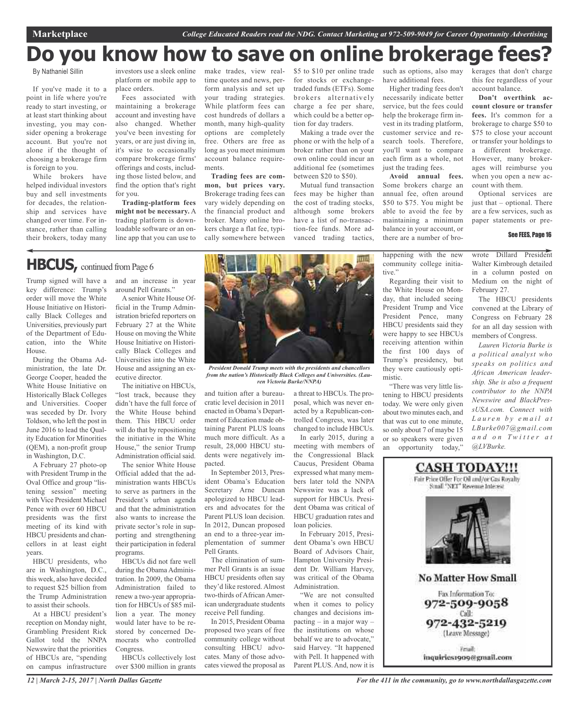# **Do you know how to save on online brokerage fees?**

By Nathaniel Sillin

If you've made it to a point in life where you're ready to start investing, or at least start thinking about investing, you may consider opening a brokerage account. But you're not alone if the thought of choosing a brokerage firm is foreign to you.

While brokers have helped individual investors buy and sell investments for decades, the relationship and services have changed over time. For instance, rather than calling their brokers, today many

investors use a sleek online platform or mobile app to place orders.

Fees associated with maintaining a brokerage account and investing have also changed. Whether you've been investing for years, or are just diving in, it's wise to occasionally compare brokerage firms' offerings and costs, including those listed below, and find the option that's right for you.

**Trading-platform fees might not be necessary.** A trading platform is downloadable software or an online app that you can use to

make trades, view realtime quotes and news, perform analysis and set up your trading strategies. While platform fees can cost hundreds of dollars a month, many high-quality options are completely free. Others are free as long as you meet minimum account balance requirements.

**Trading fees are common, but prices vary.** Brokerage trading fees can vary widely depending on the financial product and broker. Many online brokers charge a flat fee, typically somewhere between

\$5 to \$10 per online trade for stocks or exchangetraded funds (ETFs). Some brokers alternatively charge a fee per share, which could be a better option for day traders.

Making a trade over the phone or with the help of a broker rather than on your own online could incur an additional fee (sometimes between \$20 to \$50).

Mutual fund transaction fees may be higher than the cost of trading stocks, although some brokers have a list of no-transaction-fee funds. More advanced trading tactics,

have additional fees.

Higher trading fees don't necessarily indicate better service, but the fees could help the brokerage firm invest in its trading platform, customer service and research tools. Therefore, you'll want to compare each firm as a whole, not just the trading fees.

**Avoid annual fees.** Some brokers charge an annual fee, often around \$50 to \$75. You might be able to avoid the fee by maintaining a minimum balance in your account, or there are a number of bro-

such as options, also may kerages that don't charge this fee regardless of your account balance.

> **Don't overthink account closure or transfer fees.** It's common for a brokerage to charge \$50 to \$75 to close your account or transfer your holdings to a different brokerage. However, many brokerages will reimburse you when you open a new account with them.

> Optional services are just that – optional. There are a few services, such as paper statements or pre-

#### See FEES, Page 16

**HBCUS**, continued from Page 6

Trump signed will have a and an increase in year key difference: Trump's order will move the White House Initiative on Historically Black Colleges and Universities, previously part of the Department of Education, into the White House.

During the Obama Administration, the late Dr. George Cooper, headed the White House Initiative on Historically Black Colleges and Universities. Cooper was seceded by Dr. Ivory Toldson, who left the post in June 2016 to lead the Quality Education for Minorities (QEM), a non-profit group in Washington, D.C.

A February 27 photo-op with President Trump in the Oval Office and group "listening session" meeting with Vice President Michael Pence with over 60 HBCU presidents was the first meeting of its kind with HBCU presidents and chancellors in at least eight years.

HBCU presidents, who are in Washington, D.C., this week, also have decided to request \$25 billion from the Trump Administration to assist their schools.

At a HBCU president's reception on Monday night, Grambling President Rick Gallot told the NNPA Newswire that the priorities of HBCUs are, "spending on campus infrastructure around Pell Grants."

Asenior White House Official in the Trump Administration briefed reporters on February 27 at the White House on moving the White House Initiative on Historically Black Colleges and Universities into the White House and assigning an executive director.

The initiative on HBCUs, "lost track, because they didn't have the full force of the White House behind them. This HBCU order will do that by repositioning the initiative in the White House," the senior Trump Administration official said.

The senior White House Official added that the administration wants HBCUs to serve as partners in the President's urban agenda and that the administration also wants to increase the private sector's role in supporting and strengthening their participation in federal programs.

HBCUs did not fare well during the Obama Administration. In 2009, the Obama Administration failed to renew a two-year appropriation for HBCUs of \$85 million a year. The money would later have to be restored by concerned Democrats who controlled Congress.

HBCUs collectively lost over \$300 million in grants



*President Donald Trump meets with the presidents and chancellors from the nation's Historically Black Colleges and Universities. (Lauren Victoria Burke/NNPA)*

and tuition after a bureaucratic level decision in 2011 enacted in Obama's Department of Education made obtaining Parent PLUS loans much more difficult. As a result, 28,000 HBCU students were negatively impacted.

In September 2013, President Obama's Education Secretary Arne Duncan apologized to HBCU leaders and advocates for the Parent PLUS loan decision. In 2012, Duncan proposed an end to a three-year implementation of summer Pell Grants.

The elimination of summer Pell Grants is an issue HBCU presidents often say they'd like restored. Almost two-thirds of African American undergraduate students receive Pell funding.

In 2015, President Obama proposed two years of free community college without consulting HBCU advocates. Many of those advocates viewed the proposal as

a threat to HBCUs. The proposal, which was never enacted by a Republican-controlled Congress, was later changed to include HBCUs. In early 2015, during a

meeting with members of the Congressional Black Caucus, President Obama expressed what many members later told the NNPA Newswire was a lack of support for HBCUs. President Obama was critical of HBCU graduation rates and loan policies.

In February 2015, President Obama's own HBCU Board of Advisors Chair, Hampton University President Dr. William Harvey, was critical of the Obama Administration.

"We are not consulted when it comes to policy changes and decisions impacting – in a major way – the institutions on whose behalf we are to advocate," said Harvey. "It happened with Pell. It happened with Parent PLUS. And, now it is happening with the new community college initiative."

Regarding their visit to the White House on Monday, that included seeing President Trump and Vice President Pence, many HBCU presidents said they were happy to see HBCUs receiving attention within the first 100 days of Trump's presidency, but they were cautiously optimistic.

"There was very little listening to HBCU presidents today. We were only given about two minutes each, and that was cut to one minute, so only about 7 of maybe 15 or so speakers were given an opportunity today,"

wrote Dillard President Walter Kimbrough detailed in a column posted on Medium on the night of February 27.

The HBCU presidents convened at the Library of Congress on February 28 for an all day session with members of Congress.

*Lauren Victoria Burke is a political analyst who speaks on politics and African American leadership. She is also a frequent contributor to the NNPA Newswire and BlackPressUSA.com. Connect with L a u r e n b y e m a i l a t LBurke007@gmail.com a n d o n T w i t t e r a t @LVBurke.*



*For the 411 in the community, go to www.northdallasgazette.com*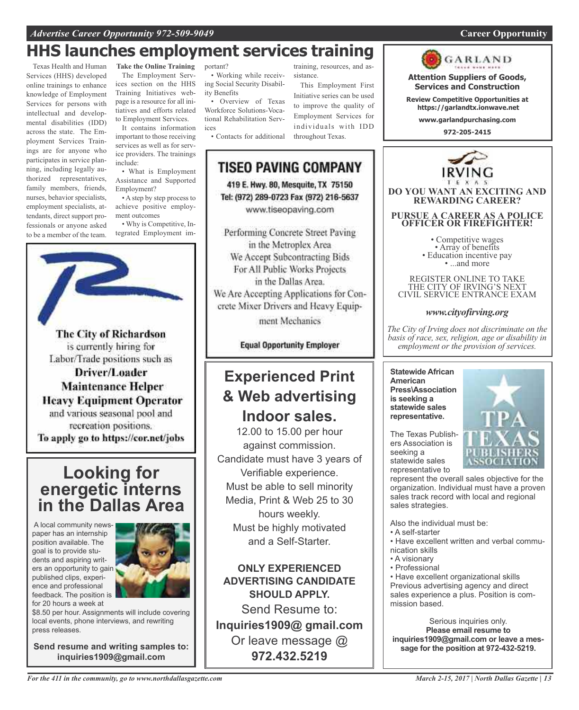## *Advertise Career Opportunity 972-509-9049* **Career Opportunity**

## **HHS launches employment services training**

Texas Health and Human Services (HHS) developed online trainings to enhance knowledge of Employment Services for persons with intellectual and developmental disabilities (IDD) across the state. The Employment Services Trainings are for anyone who participates in service planning, including legally authorized representatives, family members, friends, nurses, behavior specialists, employment specialists, attendants, direct support professionals or anyone asked to be a member of the team.

**Take the Online Training** The Employment Services section on the HHS Training Initiatives webpage is a resource for all initiatives and efforts related to Employment Services.

It contains information important to those receiving services as well as for service providers. The trainings include:

• What is Employment Assistance and Supported Employment?

• A step by step process to achieve positive employment outcomes

• Why is Competitive, Integrated Employment im-



The City of Richardson is currently hiring for Labor/Trade positions such as Driver/Loader **Maintenance Helper Heavy Equipment Operator** and various seasonal pool and recreation positions. To apply go to https://cor.net/jobs

## **Looking for energetic interns in the Dallas Area**

A local community newspaper has an internship position available. The goal is to provide students and aspiring writers an opportunity to gain published clips, experience and professional feedback. The position is for 20 hours a week at



\$8.50 per hour. Assignments will include covering local events, phone interviews, and rewriting press releases.

**Send resume and writing samples to: inquiries1909@gmail.com**

portant?

• Working while receiving Social Security Disability Benefits

• Overview of Texas Workforce Solutions-Vocational Rehabilitation Services

• Contacts for additional

# **TISEO PAVING COMPANY**

sistance.

throughout Texas.

training, resources, and as-

This Employment First Initiative series can be used to improve the quality of Employment Services for individuals with IDD

419 E. Hwy. 80, Mesquite, TX 75150 Tel: (972) 289-0723 Fax (972) 216-5637 www.tiseopaving.com

Performing Concrete Street Paving in the Metroplex Area We Accept Subcontracting Bids For All Public Works Projects in the Dallas Area. We Are Accepting Applications for Concrete Mixer Drivers and Heavy Equip-

ment Mechanics

**Equal Opportunity Employer** 

## **Experienced Print & Web advertising Indoor sales.**

12.00 to 15.00 per hour against commission. Candidate must have 3 years of Verifiable experience. Must be able to sell minority Media, Print & Web 25 to 30 hours weekly. Must be highly motivated and a Self-Starter.

**ONLY EXPERIENCED ADVERTISING CANDIDATE SHOULD APPLY.**

Send Resume to: **Inquiries1909@ gmail.com** Or leave message @ **972.432.5219**



**Attention Suppliers of Goods, Services and Construction**

**Review Competitive Opportunities at https://garlandtx.ionwave.net**

**www.garlandpurchasing.com**

**972-205-2415**



THE CITY OF IRVING'S NEXT CIVIL SERVICE ENTRANCE EXAM

## *www.cityofirving.org*

*The City of Irving does not discriminate on the basis of race, sex, religion, age or disability in employment or the provision of services.*

**Statewide African American Press\Association is seeking a statewide sales representative.**

The Texas Publishers Association is seeking a statewide sales representative to

represent the overall sales objective for the organization. Individual must have a proven sales track record with local and regional sales strategies.

Also the individual must be:

- A self-starter
- Have excellent written and verbal communication skills
- A visionary
- Professional

• Have excellent organizational skills Previous advertising agency and direct sales experience a plus. Position is commission based.

Serious inquiries only. **Please email resume to inquiries1909@gmail.com or leave a message for the position at 972-432-5219.**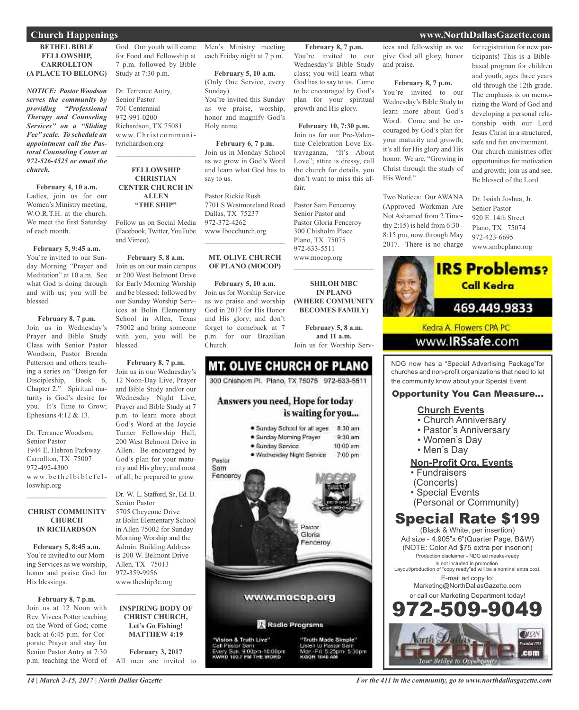#### **BETHEL BIBLE FELLOWSHIP, CARROLLTON (A PLACE TO BELONG)**

*NOTICE: Pastor Woodson serves the community by providing "Professional Therapy and Counseling Services" on a "Sliding Fee" scale. To schedule an appointment call the Pastoral Counseling Center at 972-526-4525 or email the church.*

**February 4, 10 a.m.** Ladies, join us for our Women's Ministry meeting, W.O.R.T.H. at the church. We meet the first Saturday of each month.

#### **February 5, 9:45 a.m.**

You're invited to our Sunday Morning "Prayer and Meditation" at 10 a.m. See what God is doing through and with us; you will be blessed.

#### **February 8, 7 p.m.**

Join us in Wednesday's Prayer and Bible Study Class with Senior Pastor Woodson, Pastor Brenda Patterson and others teaching a series on "Design for Discipleship, Book 6, Chapter 2." Spiritual maturity is God's desire for you. It's Time to Grow; Ephesians 4:12 & 13.

Dr. Terrance Woodson, Senior Pastor 1944 E. Hebron Parkway Carrollton, TX 75007 972-492-4300  $ww.$  be the l b i b l e f e l loswhip.org

#### **CHRIST COMMUNITY CHURCH IN RICHARDSON**

 $\mathcal{L}_\text{max}$  and  $\mathcal{L}_\text{max}$  and  $\mathcal{L}_\text{max}$ 

**February 5, 8:45 a.m.** You're invited to our Morning Services as we worship, honor and praise God for His blessings.

#### **February 8, 7 p.m.**

Join us at 12 Noon with Rev. Viveca Potter teaching on the Word of God; come back at 6:45 p.m. for Corporate Prayer and stay for Senior Pastor Autry at 7:30 p.m. teaching the Word of

God. Our youth will come for Food and Fellowship at 7 p.m. followed by Bible Study at 7:30 p.m.

Dr. Terrence Autry, Senior Pastor 701 Centennial 972-991-0200 Richardson, TX 75081 www.Christcommunityrichardson.org  $\mathcal{L}_\text{max}$  , which is a set of the set of the set of the set of the set of the set of the set of the set of the set of the set of the set of the set of the set of the set of the set of the set of the set of the set of

#### **FELLOWSHIP CHRISTIAN CENTER CHURCH IN ALLEN "THE SHIP"**

Follow us on Social Media (Facebook, Twitter,YouTube and Vimeo).

**February 5, 8 a.m.** Join us on our main campus at 200 West Belmont Drive for Early Morning Worship and be blessed; followed by our Sunday Worship Services at Bolin Elementary School in Allen, Texas 75002 and bring someone with you, you will be blessed.

**February 8, 7 p.m.** Join us in our Wednesday's 12 Noon-Day Live, Prayer and Bible Study and/or our Wednesday Night Live, Prayer and Bible Study at 7 p.m. to learn more about God's Word at the Joycie Turner Fellowship Hall, 200 West Belmont Drive in Allen. Be encouraged by God's plan for your maturity and His glory; and most of all; be prepared to grow.

Dr. W. L. Stafford, Sr., Ed. D. Senior Pastor 5705 Cheyenne Drive at Bolin Elementary School in Allen 75002 for Sunday Morning Worship and the Admin. Building Address is 200 W. Belmont Drive Allen, TX 75013 972-359-9956 www.theship3c.org  $\mathcal{L}_\text{max}$  , which is a set of the set of the set of the set of the set of the set of the set of the set of the set of the set of the set of the set of the set of the set of the set of the set of the set of the set of

#### **INSPIRING BODY OF CHRIST CHURCH, Let's Go Fishing! MATTHEW 4:19**

**February 3, 2017** All men are invited to

Men's Ministry meeting each Friday night at 7 p.m.

> **February 5, 10 a.m.** (Only One Service, every Sunday) You're invited this Sunday as we praise, worship, honor and magnify God's Holy name.

**February 6, 7 p.m.** Join us in Monday School as we grow in God's Word and learn what God has to say to us.

Pastor Rickie Rush 7701 S Westmoreland Road Dallas, TX 75237 972-372-4262 www.Ibocchurch.org  $\overline{\phantom{a}}$  , and the set of the set of the set of the set of the set of the set of the set of the set of the set of the set of the set of the set of the set of the set of the set of the set of the set of the set of the s

#### **MT. OLIVE CHURCH OF PLANO (MOCOP)**

**February 5, 10 a.m.** Join us for Worship Service as we praise and worship God in 2017 for His Honor and His glory; and don't forget to comeback at 7 p.m. for our Brazilian Church.

## **MT. OLIVE CHURCH OF PLANO** 300 Chishoim Pl. Plano, TX 75075 972-633-5511 Answers you need, Hope for today is waiting for you... · Sunday School for all ages 8:30 am  $9-30$  am · Sunday Morning Prayer · Sunday Service  $10:00$  am · Wednesday Night Service 7:00 pm Pastor Sam Fenceroy Pastor Gloria encerov

## www.mocop.org

Radio Programs

"Truth Made Simple"

KODBE 1040 AB

to Pastor S<br>in: 5:25pm

5:30pm

Vision & Truth Live" :<br>all Pastor Sam<br>WRD 193.7 FM THE WORD

**February 8, 7 p.m.** You're invited to our Wednesday's Bible Study class; you will learn what ices and fellowship as we give God all glory, honor and praise.

God has to say to us. Come to be encouraged by God's plan for your spiritual growth and His glory.

**February 10, 7:30 p.m.** Join us for our Pre-Valentine Celebration Love Extravaganza, "It's About Love"; attire is dressy, call the church for details, you don't want to miss this af-

Pastor Sam Fenceroy Senior Pastor and Pastor Gloria Fenceroy 300 Chisholm Place Plano, TX 75075 972-633-5511 www.mocop.org

 $\overline{\phantom{a}}$  , and the set of the set of the set of the set of the set of the set of the set of the set of the set of the set of the set of the set of the set of the set of the set of the set of the set of the set of the s

**SHILOH MBC IN PLANO (WHERE COMMUNITY BECOMES FAMILY)**

**February 5, 8 a.m. and 11 a.m.** Join us for Worship Serv-

fair.

#### **February 8, 7 p.m.**

You're invited to our Wednesday's Bible Study to learn more about God's Word. Come and be encouraged by God's plan for your maturity and growth; it's all for His glory and His honor. We are, "Growing in Christ through the study of His Word."

Two Notices: Our AWANA (Approved Workman Are Not Ashamed from 2 Timothy 2:15) is held from 6:30 - 8:15 pm, now through May 2017. There is no charge for registration for new participants! This is a Biblebased program for children and youth, ages three years old through the 12th grade. The emphasis is on memorizing the Word of God and developing a personal relationship with our Lord Jesus Christ in a structured, safe and fun environment. Our church ministries offer opportunities for motivation and growth; join us and see. Be blessed of the Lord.

Dr. Isaiah Joshua, Jr. Senior Pastor 920 E. 14th Street Plano, TX 75074 972-423-6695 www.smbcplano.org



NDG now has a "Special Advertising Package"for churches and non-profit organizations that need to let the community know about your Special Event.

### Opportunity You Can Measure...

#### **Church Events**

- Church Anniversary
- Pastor's Anniversary
- Women's Day
- Men's Day

## **Non-Profit Org. Events**

- Fundraisers
- (Concerts)
- Special Events
- (Personal or Community)

## Special Rate \$199

(Black & White, per insertion) Ad size - 4.905"x 6"(Quarter Page, B&W) (NOTE: Color Ad \$75 extra per inserion) Production disclaimer - NDG ad meake-ready is not included in promotion. Layout/production of "copy ready"ad will be a nominal extra cost. E-mail ad copy to: Marketing@NorthDallasGazette.com or call our Marketing Department today! 509-9



## **Church Happenings www.NorthDallasGazette.com**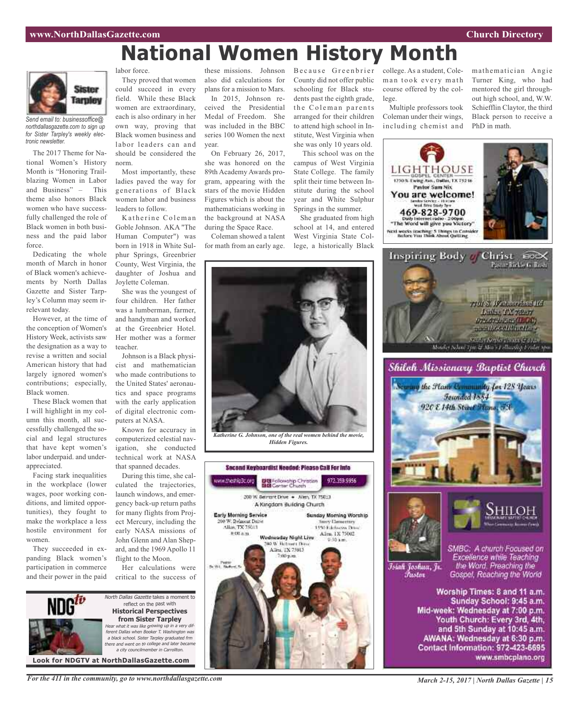# **National Women History Month**



*Send email to: businessoffice@ northdallasgazette.com to sign up for Sister Tarpley's weekly electronic newsletter.*

The 2017 Theme for National Women's History Month is "Honoring Trailblazing Women in Labor and Business" – This theme also honors Black women who have successfully challenged the role of Black women in both business and the paid labor force.

Dedicating the whole month of March in honor of Black women's achievements by North Dallas Gazette and Sister Tarpley's Column may seem irrelevant today.

However, at the time of the conception of Women's History Week, activists saw the designation as a way to revise a written and social American history that had largely ignored women's contributions; especially, Black women.

These Black women that I will highlight in my column this month, all successfully challenged the social and legal structures that have kept women's labor underpaid. and underappreciated.

Facing stark inequalities in the workplace (lower wages, poor working conditions, and limited opportunities), they fought to make the workplace a less hostile environment for women.

They succeeded in expanding Black women's participation in commerce and their power in the paid labor force.

They proved that women could succeed in every field. While these Black women are extraordinary, each is also ordinary in her own way, proving that Black women business and labor leaders can and should be considered the norm.

Most importantly, these ladies paved the way for generations of Black women labor and business leaders to follow.

Katherine Coleman Goble Johnson. AKA "The Human Computer") was born in 1918 in White Sulphur Springs, Greenbrier County, West Virginia, the daughter of Joshua and Joylette Coleman.

She was the youngest of four children. Her father was a lumberman, farmer, and handyman and worked at the Greenbrier Hotel. Her mother was a former teacher.

Johnson is a Black physicist and mathematician who made contributions to the United States' aeronautics and space programs with the early application of digital electronic computers at NASA.

Known for accuracy in computerized celestial navigation, she conducted technical work at NASA that spanned decades.

During this time, she calculated the trajectories, launch windows, and emergency back-up return paths for many flights from Project Mercury, including the early NASA missions of John Glenn and Alan Shepard, and the 1969 Apollo 11 flight to the Moon.

Her calculations were critical to the success of



*For the 411 in the community, go to www.northdallasgazette.com*

these missions. Johnson also did calculations for plans for a mission to Mars.

In 2015, Johnson received the Presidential Medal of Freedom. She was included in the BBC series 100 Women the next year.

On February 26, 2017, she was honored on the 89th Academy Awards program, appearing with the stars of the movie Hidden Figures which is about the mathematicians working in the background at NASA during the Space Race.

Coleman showed a talent for math from an early age. Because Greenbrier County did not offer public schooling for Black students past the eighth grade, the Coleman parents arranged for their children to attend high school in Institute, West Virginia when she was only 10 years old.

This school was on the campus of West Virginia State College. The family split their time between Institute during the school year and White Sulphur Springs in the summer.

She graduated from high school at 14, and entered West Virginia State College, a historically Black college. As a student, Coleman took every math course offered by the college.

Multiple professors took Coleman under their wings, including chemist and mathematician Angie Turner King, who had mentored the girl throughout high school, and, W.W. Schiefflin Claytor, the third Black person to receive a PhD in math.









Īsiah Joshua, Jr. Fustor

SMBC: A church Focused on Excellence while Teaching the Word. Preaching the Gospel, Reaching the World

Worship Times: 8 and 11 a.m. Sunday School: 9:45 a.m. Mid-week: Wednesday at 7:00 p.m. Youth Church: Every 3rd, 4th, and 5th Sunday at 10:45 a.m. AWANA: Wednesday at 6:30 p.m. Contact Information: 972-423-6695 www.smbcplano.org